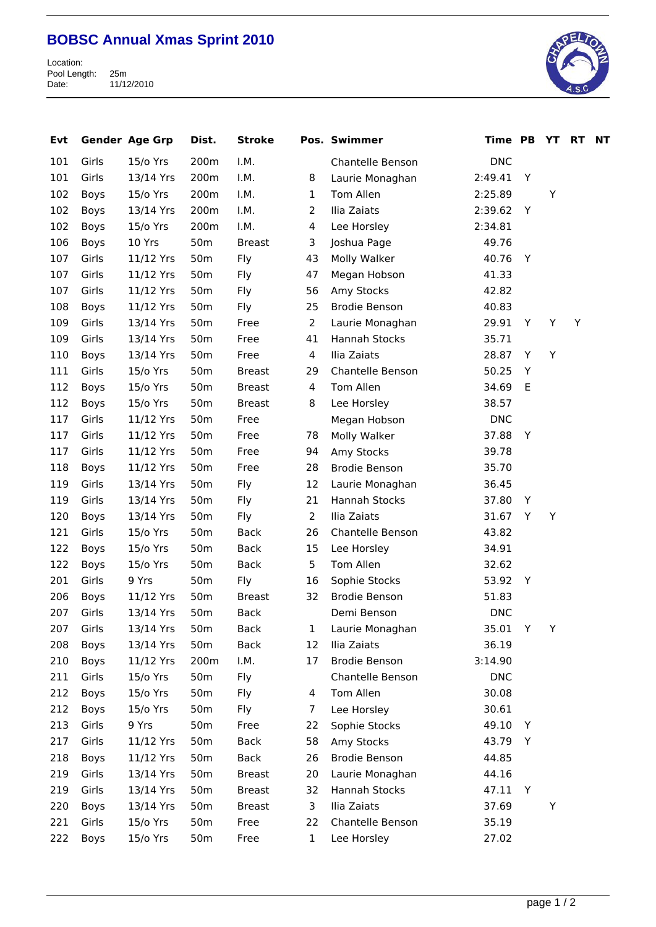## **BOBSC Annual Xmas Sprint 2010**

Location: Pool Length: 25m Date: 11/12/2010



| Evt |       | <b>Gender Age Grp</b> | Dist.           | <b>Stroke</b> |                | Pos. Swimmer         | Time PB    |   | YT | <b>RT</b> | <b>NT</b> |
|-----|-------|-----------------------|-----------------|---------------|----------------|----------------------|------------|---|----|-----------|-----------|
| 101 | Girls | 15/o Yrs              | 200m            | I.M.          |                | Chantelle Benson     | <b>DNC</b> |   |    |           |           |
| 101 | Girls | 13/14 Yrs             | 200m            | I.M.          | 8              | Laurie Monaghan      | 2:49.41    | Y |    |           |           |
| 102 | Boys  | 15/o Yrs              | 200m            | I.M.          | $\mathbf{1}$   | Tom Allen            | 2:25.89    |   | Υ  |           |           |
| 102 | Boys  | 13/14 Yrs             | 200m            | I.M.          | $\overline{2}$ | Ilia Zaiats          | 2:39.62    | Y |    |           |           |
| 102 | Boys  | 15/o Yrs              | 200m            | I.M.          | $\overline{4}$ | Lee Horsley          | 2:34.81    |   |    |           |           |
| 106 | Boys  | 10 Yrs                | 50 <sub>m</sub> | <b>Breast</b> | 3              | Joshua Page          | 49.76      |   |    |           |           |
| 107 | Girls | 11/12 Yrs             | 50 <sub>m</sub> | Fly           | 43             | Molly Walker         | 40.76      | Y |    |           |           |
| 107 | Girls | 11/12 Yrs             | 50 <sub>m</sub> | Fly           | 47             | Megan Hobson         | 41.33      |   |    |           |           |
| 107 | Girls | 11/12 Yrs             | 50 <sub>m</sub> | Fly           | 56             | Amy Stocks           | 42.82      |   |    |           |           |
| 108 | Boys  | 11/12 Yrs             | 50 <sub>m</sub> | Fly           | 25             | <b>Brodie Benson</b> | 40.83      |   |    |           |           |
| 109 | Girls | 13/14 Yrs             | 50 <sub>m</sub> | Free          | $\overline{2}$ | Laurie Monaghan      | 29.91      | Y | Υ  | Υ         |           |
| 109 | Girls | 13/14 Yrs             | 50 <sub>m</sub> | Free          | 41             | Hannah Stocks        | 35.71      |   |    |           |           |
| 110 | Boys  | 13/14 Yrs             | 50 <sub>m</sub> | Free          | $\overline{4}$ | Ilia Zaiats          | 28.87      | Y | Y  |           |           |
| 111 | Girls | 15/o Yrs              | 50 <sub>m</sub> | <b>Breast</b> | 29             | Chantelle Benson     | 50.25      | Υ |    |           |           |
| 112 | Boys  | 15/o Yrs              | 50 <sub>m</sub> | <b>Breast</b> | $\overline{4}$ | Tom Allen            | 34.69      | E |    |           |           |
| 112 | Boys  | 15/o Yrs              | 50 <sub>m</sub> | <b>Breast</b> | 8              | Lee Horsley          | 38.57      |   |    |           |           |
| 117 | Girls | 11/12 Yrs             | 50 <sub>m</sub> | Free          |                | Megan Hobson         | <b>DNC</b> |   |    |           |           |
| 117 | Girls | 11/12 Yrs             | 50 <sub>m</sub> | Free          | 78             | Molly Walker         | 37.88      | Y |    |           |           |
| 117 | Girls | 11/12 Yrs             | 50 <sub>m</sub> | Free          | 94             | Amy Stocks           | 39.78      |   |    |           |           |
| 118 | Boys  | 11/12 Yrs             | 50 <sub>m</sub> | Free          | 28             | <b>Brodie Benson</b> | 35.70      |   |    |           |           |
| 119 | Girls | 13/14 Yrs             | 50 <sub>m</sub> | Fly           | 12             | Laurie Monaghan      | 36.45      |   |    |           |           |
| 119 | Girls | 13/14 Yrs             | 50 <sub>m</sub> | Fly           | 21             | Hannah Stocks        | 37.80      | Y |    |           |           |
| 120 | Boys  | 13/14 Yrs             | 50 <sub>m</sub> | Fly           | $\overline{2}$ | Ilia Zaiats          | 31.67      | Y | Y  |           |           |
| 121 | Girls | 15/o Yrs              | 50 <sub>m</sub> | <b>Back</b>   | 26             | Chantelle Benson     | 43.82      |   |    |           |           |
| 122 | Boys  | 15/o Yrs              | 50 <sub>m</sub> | <b>Back</b>   | 15             | Lee Horsley          | 34.91      |   |    |           |           |
| 122 | Boys  | 15/o Yrs              | 50 <sub>m</sub> | <b>Back</b>   | 5              | Tom Allen            | 32.62      |   |    |           |           |
| 201 | Girls | 9 Yrs                 | 50 <sub>m</sub> | Fly           | 16             | Sophie Stocks        | 53.92      | Y |    |           |           |
| 206 | Boys  | 11/12 Yrs             | 50 <sub>m</sub> | <b>Breast</b> | 32             | <b>Brodie Benson</b> | 51.83      |   |    |           |           |
| 207 | Girls | 13/14 Yrs             | 50 <sub>m</sub> | <b>Back</b>   |                | Demi Benson          | <b>DNC</b> |   |    |           |           |
| 207 | Girls | 13/14 Yrs             | 50 <sub>m</sub> | Back          | $\mathbf{1}$   | Laurie Monaghan      | 35.01      | Y | Y  |           |           |
| 208 | Boys  | 13/14 Yrs             | 50 <sub>m</sub> | <b>Back</b>   | 12             | Ilia Zaiats          | 36.19      |   |    |           |           |
| 210 | Boys  | 11/12 Yrs             | 200m            | I.M.          | 17             | <b>Brodie Benson</b> | 3:14.90    |   |    |           |           |
| 211 | Girls | 15/o Yrs              | 50 <sub>m</sub> | Fly           |                | Chantelle Benson     | <b>DNC</b> |   |    |           |           |
| 212 | Boys  | 15/o Yrs              | 50 <sub>m</sub> | Fly           | 4              | Tom Allen            | 30.08      |   |    |           |           |
| 212 | Boys  | 15/o Yrs              | 50 <sub>m</sub> | Fly           | 7              | Lee Horsley          | 30.61      |   |    |           |           |
| 213 | Girls | 9 Yrs                 | 50 <sub>m</sub> | Free          | 22             | Sophie Stocks        | 49.10      | Y |    |           |           |
| 217 | Girls | 11/12 Yrs             | 50 <sub>m</sub> | <b>Back</b>   | 58             | Amy Stocks           | 43.79      | Y |    |           |           |
| 218 | Boys  | 11/12 Yrs             | 50 <sub>m</sub> | Back          | 26             | <b>Brodie Benson</b> | 44.85      |   |    |           |           |
| 219 | Girls | 13/14 Yrs             | 50 <sub>m</sub> | <b>Breast</b> | 20             | Laurie Monaghan      | 44.16      |   |    |           |           |
| 219 | Girls | 13/14 Yrs             | 50 <sub>m</sub> | <b>Breast</b> | 32             | Hannah Stocks        | 47.11      | Y |    |           |           |
| 220 | Boys  | 13/14 Yrs             | 50 <sub>m</sub> | <b>Breast</b> | 3              | Ilia Zaiats          | 37.69      |   | Υ  |           |           |
| 221 | Girls | 15/o Yrs              | 50 <sub>m</sub> | Free          | 22             | Chantelle Benson     | 35.19      |   |    |           |           |
| 222 | Boys  | 15/o Yrs              | 50 <sub>m</sub> | Free          | $\mathbf{1}$   | Lee Horsley          | 27.02      |   |    |           |           |